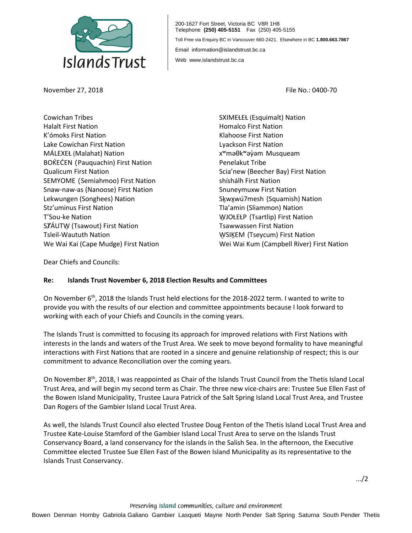

November 27, 2018 File No.: 0400-70

200-1627 Fort Street, Victoria BC V8R 1H8 Telephone **(250) 405-5151** Fax (250) 405-5155 Toll Free via Enquiry BC in Vancouver 660-2421. Elsewhere in BC **1.800.663.7867** Email information@islandstrust.bc.ca Web www.islandstrust.bc.ca

Cowichan Tribes Halalt First Nation K'ómoks First Nation Lake Cowichan First Nation MÁLEXEȽ (Malahat) Nation BOKEĆEN (Pauquachin) First Nation Qualicum First Nation SEMYOME (Semiahmoo) First Nation Snaw-naw-as (Nanoose) First Nation Lekwungen (Songhees) Nation Stz'uminus First Nation T'Sou-ke Nation SȾÁUTW̱(Tsawout) First Nation Tsleil-Waututh Nation We Wai Kai (Cape Mudge) First Nation

SXIMEŁEŁ (Esquimalt) Nation Homalco First Nation Klahoose First Nation Lyackson First Nation xʷməθkʷəy̓əm Musqueam Penelakut Tribe Scia'new (Beecher Bay) First Nation shíshálh First Nation Snuneymuxw First Nation Skwxwú7mesh (Squamish) Nation Tla'amin (Sliammon) Nation WJOŁEŁP (Tsartlip) First Nation Tsawwassen First Nation WSIKEM (Tseycum) First Nation Wei Wai Kum (Campbell River) First Nation

Dear Chiefs and Councils:

## **Re: Islands Trust November 6, 2018 Election Results and Committees**

On November 6<sup>th</sup>, 2018 the Islands Trust held elections for the 2018-2022 term. I wanted to write to provide you with the results of our election and committee appointments because I look forward to working with each of your Chiefs and Councils in the coming years.

The Islands Trust is committed to focusing its approach for improved relations with First Nations with interests in the lands and waters of the Trust Area. We seek to move beyond formality to have meaningful interactions with First Nations that are rooted in a sincere and genuine relationship of respect; this is our commitment to advance Reconciliation over the coming years.

On November 8th, 2018, I was reappointed as Chair of the Islands Trust Council from the Thetis Island Local Trust Area, and will begin my second term as Chair. The three new vice-chairs are: Trustee Sue Ellen Fast of the Bowen Island Municipality, Trustee Laura Patrick of the Salt Spring Island Local Trust Area, and Trustee Dan Rogers of the Gambier Island Local Trust Area.

As well, the Islands Trust Council also elected Trustee Doug Fenton of the Thetis Island Local Trust Area and Trustee Kate-Louise Stamford of the Gambier Island Local Trust Area to serve on the Islands Trust Conservancy Board, a land conservancy for the islands in the Salish Sea. In the afternoon, the Executive Committee elected Trustee Sue Ellen Fast of the Bowen Island Municipality as its representative to the Islands Trust Conservancy.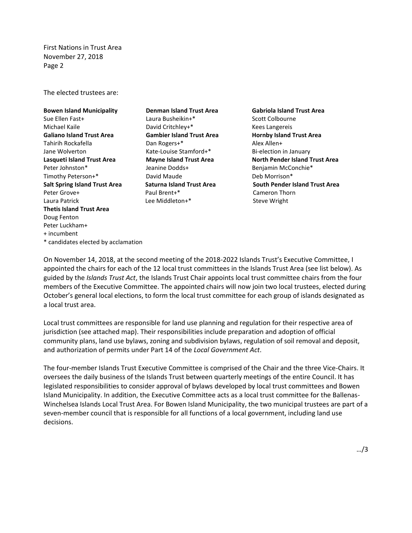First Nations in Trust Area November 27, 2018 Page 2

The elected trustees are:

**Bowen Island Municipality** Sue Ellen Fast+ Michael Kaile **Galiano Island Trust Area** Tahirih Rockafella Jane Wolverton **Lasqueti Island Trust Area** Peter Johnston\* Timothy Peterson+\* **Salt Spring Island Trust Area** Peter Grove+ Laura Patrick **Thetis Island Trust Area** Doug Fenton Peter Luckham+ + incumbent \* candidates elected by acclamation

**Denman Island Trust Area** Laura Busheikin+\* David Critchley+\* **Gambier Island Trust Area** Dan Rogers+\* Kate-Louise Stamford+\* **Mayne Island Trust Area** Jeanine Dodds+ David Maude **Saturna Island Trust Area** Paul Brent+\* Lee Middleton+\*

**Gabriola Island Trust Area** Scott Colbourne Kees Langereis **Hornby Island Trust Area** Alex Allen+ Bi-election in January **North Pender Island Trust Area** Benjamin McConchie\* Deb Morrison\* **South Pender Island Trust Area** Cameron Thorn Steve Wright

On November 14, 2018, at the second meeting of the 2018-2022 Islands Trust's Executive Committee, I appointed the chairs for each of the 12 local trust committees in the Islands Trust Area (see list below). As guided by the *Islands Trust Act*, the Islands Trust Chair appoints local trust committee chairs from the four members of the Executive Committee. The appointed chairs will now join two local trustees, elected during October's general local elections, to form the local trust committee for each group of islands designated as a local trust area.

Local trust committees are responsible for land use planning and regulation for their respective area of jurisdiction (see attached map). Their responsibilities include preparation and adoption of official community plans, land use bylaws, zoning and subdivision bylaws, regulation of soil removal and deposit, and authorization of permits under Part 14 of the *Local Government Act*.

The four-member Islands Trust Executive Committee is comprised of the Chair and the three Vice-Chairs. It oversees the daily business of the Islands Trust between quarterly meetings of the entire Council. It has legislated responsibilities to consider approval of bylaws developed by local trust committees and Bowen Island Municipality. In addition, the Executive Committee acts as a local trust committee for the Ballenas-Winchelsea Islands Local Trust Area. For Bowen Island Municipality, the two municipal trustees are part of a seven-member council that is responsible for all functions of a local government, including land use decisions.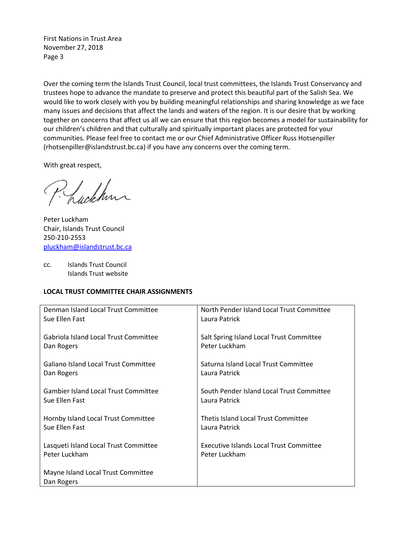First Nations in Trust Area November 27, 2018 Page 3

Over the coming term the Islands Trust Council, local trust committees, the Islands Trust Conservancy and trustees hope to advance the mandate to preserve and protect this beautiful part of the Salish Sea. We would like to work closely with you by building meaningful relationships and sharing knowledge as we face many issues and decisions that affect the lands and waters of the region. It is our desire that by working together on concerns that affect us all we can ensure that this region becomes a model for sustainability for our children's children and that culturally and spiritually important places are protected for your communities. Please feel free to contact me or our Chief Administrative Officer Russ Hotsenpiller (rhotsenpiller@islandstrust.bc.ca) if you have any concerns over the coming term.

With great respect,

Luckhun

Peter Luckham Chair, Islands Trust Council 250-210-2553 [pluckham@islandstrust.bc.ca](mailto:pluckham@islandstrust.bc.ca)

cc. Islands Trust Council Islands Trust website

## **LOCAL TRUST COMMITTEE CHAIR ASSIGNMENTS**

| Denman Island Local Trust Committee              | North Pender Island Local Trust Committee |
|--------------------------------------------------|-------------------------------------------|
| Sue Ellen Fast                                   | Laura Patrick                             |
| Gabriola Island Local Trust Committee            | Salt Spring Island Local Trust Committee  |
| Dan Rogers                                       | Peter Luckham                             |
| Galiano Island Local Trust Committee             | Saturna Island Local Trust Committee      |
| Dan Rogers                                       | Laura Patrick                             |
| Gambier Island Local Trust Committee             | South Pender Island Local Trust Committee |
| Sue Ellen Fast                                   | Laura Patrick                             |
| Hornby Island Local Trust Committee              | Thetis Island Local Trust Committee       |
| Sue Ellen Fast                                   | Laura Patrick                             |
| Lasqueti Island Local Trust Committee            | Executive Islands Local Trust Committee   |
| Peter Luckham                                    | Peter Luckham                             |
| Mayne Island Local Trust Committee<br>Dan Rogers |                                           |